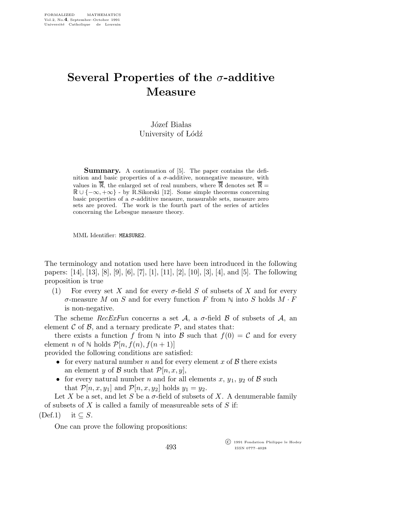## Several Properties of the  $\sigma$ -additive Measure

Józef Białas University of Lódź

Summary. A continuation of [5]. The paper contains the definition and basic properties of a  $\sigma$ -additive, nonnegative measure, with values in  $\mathbb{R}$ , the enlarged set of real numbers, where  $\mathbb{R}$  denotes set  $\mathbb{R} =$  $\mathbb{R} \cup \{-\infty, +\infty\}$  - by R.Sikorski [12]. Some simple theorems concerning basic properties of a  $\sigma$ -additive measure, measurable sets, measure zero sets are proved. The work is the fourth part of the series of articles concerning the Lebesgue measure theory.

MML Identifier: MEASURE2.

The terminology and notation used here have been introduced in the following papers: [14], [13], [8], [9], [6], [7], [1], [11], [2], [10], [3], [4], and [5]. The following proposition is true

(1) For every set X and for every  $\sigma$ -field S of subsets of X and for every  $\sigma$ -measure M on S and for every function F from  $\mathbb N$  into S holds  $M \cdot F$ is non-negative.

The scheme  $RecExFun$  concerns a set A, a  $\sigma$ -field B of subsets of A, an element  $\mathcal C$  of  $\mathcal B$ , and a ternary predicate  $\mathcal P$ , and states that:

there exists a function f from  $\mathbb N$  into B such that  $f(0) = C$  and for every element *n* of  $\mathbb N$  holds  $\mathcal P[n, f(n), f(n+1)]$ 

provided the following conditions are satisfied:

- for every natural number n and for every element x of  $\beta$  there exists an element y of B such that  $\mathcal{P}[n, x, y]$ ,
- for every natural number n and for all elements x,  $y_1$ ,  $y_2$  of B such that  $\mathcal{P}[n, x, y_1]$  and  $\mathcal{P}[n, x, y_2]$  holds  $y_1 = y_2$ .

Let X be a set, and let S be a  $\sigma$ -field of subsets of X. A denumerable family of subsets of  $X$  is called a family of measureable sets of  $S$  if:

493

 $(Def.1)$  it  $\subseteq S$ .

One can prove the following propositions:

 c 1991 Fondation Philippe le Hodey ISSN 0777–4028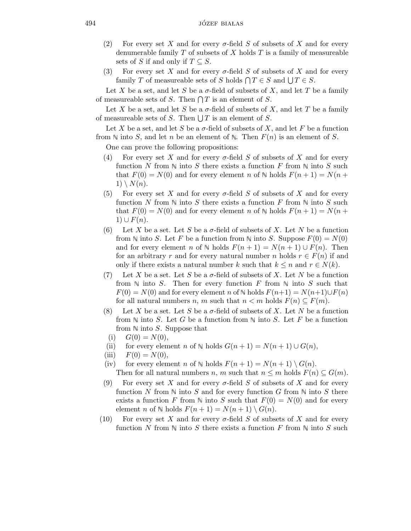- (2) For every set X and for every  $\sigma$ -field S of subsets of X and for every denumerable family  $T$  of subsets of  $X$  holds  $T$  is a family of measureable sets of S if and only if  $T \subseteq S$ .
- (3) For every set X and for every  $\sigma$ -field S of subsets of X and for every family T of measureable sets of S holds  $\bigcap T \in S$  and  $\bigcup T \in S$ .

Let X be a set, and let S be a  $\sigma$ -field of subsets of X, and let T be a family of measureable sets of S. Then  $\bigcap T$  is an element of S.

Let X be a set, and let S be a  $\sigma$ -field of subsets of X, and let T be a family of measureable sets of S. Then  $\bigcup T$  is an element of S.

Let X be a set, and let S be a  $\sigma$ -field of subsets of X, and let F be a function from  $\mathbb N$  into S, and let n be an element of  $\mathbb N$ . Then  $F(n)$  is an element of S.

One can prove the following propositions:

- (4) For every set X and for every  $\sigma$ -field S of subsets of X and for every function N from  $\mathbb N$  into S there exists a function F from  $\mathbb N$  into S such that  $F(0) = N(0)$  and for every element n of N holds  $F(n + 1) = N(n + 1)$  $1) \setminus N(n).$
- (5) For every set X and for every  $\sigma$ -field S of subsets of X and for every function N from  $\mathbb N$  into S there exists a function F from  $\mathbb N$  into S such that  $F(0) = N(0)$  and for every element n of N holds  $F(n + 1) = N(n + 1)$  $1) \cup F(n).$
- (6) Let X be a set. Let S be a  $\sigma$ -field of subsets of X. Let N be a function from  $\mathbb N$  into S. Let F be a function from  $\mathbb N$  into S. Suppose  $F(0) = N(0)$ and for every element n of  $\mathbb N$  holds  $F(n + 1) = N(n + 1) \cup F(n)$ . Then for an arbitrary r and for every natural number n holds  $r \in F(n)$  if and only if there exists a natural number k such that  $k \leq n$  and  $r \in N(k)$ .
- (7) Let X be a set. Let S be a  $\sigma$ -field of subsets of X. Let N be a function from  $\mathbb N$  into S. Then for every function F from  $\mathbb N$  into S such that  $F(0) = N(0)$  and for every element n of N holds  $F(n+1) = N(n+1) \cup F(n)$ for all natural numbers n, m such that  $n < m$  holds  $F(n) \subseteq F(m)$ .
- (8) Let X be a set. Let S be a  $\sigma$ -field of subsets of X. Let N be a function from  $\mathbb N$  into S. Let G be a function from  $\mathbb N$  into S. Let F be a function from  $\mathbb N$  into S. Suppose that
- (i)  $G(0) = N(0),$
- (ii) for every element n of  $\mathbb N$  holds  $G(n + 1) = N(n + 1) \cup G(n)$ ,
- (iii)  $F(0) = N(0)$ ,
- (iv) for every element n of  $\mathbb N$  holds  $F(n + 1) = N(n + 1) \setminus G(n)$ . Then for all natural numbers n, m such that  $n \leq m$  holds  $F(n) \subseteq G(m)$ .
- (9) For every set X and for every  $\sigma$ -field S of subsets of X and for every function N from  $\mathbb N$  into S and for every function G from  $\mathbb N$  into S there exists a function F from  $\mathbb N$  into S such that  $F(0) = N(0)$  and for every element *n* of  $\mathbb N$  holds  $F(n + 1) = N(n + 1) \setminus G(n)$ .
- (10) For every set X and for every  $\sigma$ -field S of subsets of X and for every function N from  $\mathbb N$  into S there exists a function F from  $\mathbb N$  into S such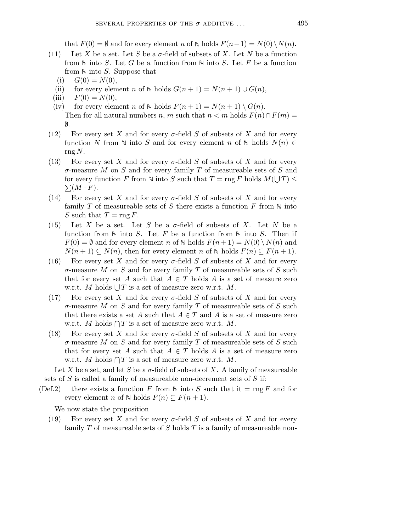that  $F(0) = \emptyset$  and for every element n of  $\mathbb N$  holds  $F(n+1) = N(0) \setminus N(n)$ .

- (11) Let X be a set. Let S be a  $\sigma$ -field of subsets of X. Let N be a function from  $\mathbb N$  into S. Let G be a function from  $\mathbb N$  into S. Let F be a function from  $\mathbb N$  into S. Suppose that
	- (i)  $G(0) = N(0)$ ,
	- (ii) for every element n of  $\mathbb N$  holds  $G(n + 1) = N(n + 1) \cup G(n)$ ,
	- (iii)  $F(0) = N(0),$
	- (iv) for every element n of  $\mathbb N$  holds  $F(n + 1) = N(n + 1) \setminus G(n)$ .

Then for all natural numbers n, m such that  $n < m$  holds  $F(n) \cap F(m) =$ ∅.

- (12) For every set X and for every  $\sigma$ -field S of subsets of X and for every function N from  $\mathbb N$  into S and for every element n of  $\mathbb N$  holds  $N(n) \in$  $\text{rng }N.$
- (13) For every set X and for every  $\sigma$ -field S of subsets of X and for every  $\sigma$ -measure M on S and for every family T of measureable sets of S and for every function F from  $\mathbb N$  into S such that  $T = \text{rng } F$  holds  $M(\bigcup T) \leq$  $\sum (M \cdot F)$ .
- (14) For every set X and for every  $\sigma$ -field S of subsets of X and for every family T of measureable sets of S there exists a function F from  $\mathbb N$  into S such that  $T = \text{rng } F$ .
- (15) Let X be a set. Let S be a  $\sigma$ -field of subsets of X. Let N be a function from  $\mathbb N$  into S. Let F be a function from  $\mathbb N$  into S. Then if  $F(0) = \emptyset$  and for every element n of  $\mathbb N$  holds  $F(n+1) = N(0) \setminus N(n)$  and  $N(n+1) \subseteq N(n)$ , then for every element n of N holds  $F(n) \subseteq F(n+1)$ .
- (16) For every set X and for every  $\sigma$ -field S of subsets of X and for every  $\sigma$ -measure M on S and for every family T of measureable sets of S such that for every set A such that  $A \in T$  holds A is a set of measure zero w.r.t. M holds  $\bigcup T$  is a set of measure zero w.r.t. M.
- (17) For every set X and for every  $\sigma$ -field S of subsets of X and for every  $\sigma$ -measure M on S and for every family T of measureable sets of S such that there exists a set A such that  $A \in T$  and A is a set of measure zero w.r.t. M holds  $\bigcap T$  is a set of measure zero w.r.t. M.
- (18) For every set X and for every  $\sigma$ -field S of subsets of X and for every  $\sigma$ -measure M on S and for every family T of measureable sets of S such that for every set A such that  $A \in T$  holds A is a set of measure zero w.r.t. M holds  $\bigcap T$  is a set of measure zero w.r.t. M.

Let X be a set, and let S be a  $\sigma$ -field of subsets of X. A family of measureable sets of  $S$  is called a family of measureable non-decrement sets of  $S$  if:

(Def.2) there exists a function F from  $\mathbb N$  into S such that it = rng F and for every element *n* of  $\mathbb N$  holds  $F(n) \subseteq F(n + 1)$ .

We now state the proposition

(19) For every set X and for every  $\sigma$ -field S of subsets of X and for every family  $T$  of measureable sets of  $S$  holds  $T$  is a family of measureable non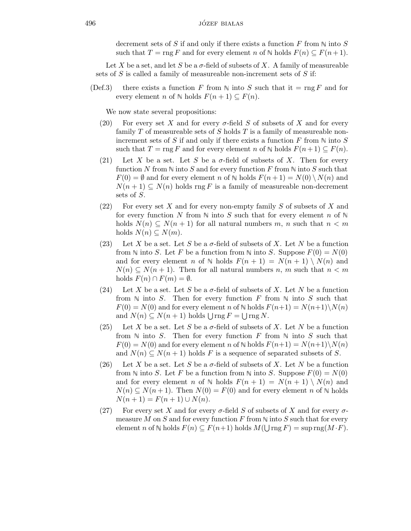decrement sets of S if and only if there exists a function F from  $\mathbb N$  into S such that  $T = \text{rng } F$  and for every element n of  $\mathbb N$  holds  $F(n) \subseteq F(n+1)$ .

Let X be a set, and let S be a  $\sigma$ -field of subsets of X. A family of measureable sets of S is called a family of measureable non-increment sets of S if:

(Def.3) there exists a function F from  $\mathbb N$  into S such that it = rng F and for every element *n* of  $\mathbb N$  holds  $F(n + 1) \subseteq F(n)$ .

We now state several propositions:

- (20) For every set X and for every  $\sigma$ -field S of subsets of X and for every family  $T$  of measureable sets of  $S$  holds  $T$  is a family of measureable nonincrement sets of S if and only if there exists a function F from  $\mathbb N$  into S such that  $T = \text{rng } F$  and for every element n of  $\mathbb N$  holds  $F(n+1) \subseteq F(n)$ .
- (21) Let X be a set. Let S be a  $\sigma$ -field of subsets of X. Then for every function N from  $\mathbb N$  into S and for every function F from  $\mathbb N$  into S such that  $F(0) = \emptyset$  and for every element n of  $\mathbb N$  holds  $F(n+1) = N(0) \setminus N(n)$  and  $N(n+1) \subseteq N(n)$  holds rng F is a family of measureable non-decrement sets of S.
- (22) For every set X and for every non-empty family S of subsets of X and for every function N from  $\mathbb N$  into S such that for every element n of  $\mathbb N$ holds  $N(n) \subseteq N(n+1)$  for all natural numbers m, n such that  $n < m$ holds  $N(n) \subseteq N(m)$ .
- (23) Let X be a set. Let S be a  $\sigma$ -field of subsets of X. Let N be a function from  $\mathbb N$  into S. Let F be a function from  $\mathbb N$  into S. Suppose  $F(0) = N(0)$ and for every element n of  $\mathbb N$  holds  $F(n + 1) = N(n + 1) \setminus N(n)$  and  $N(n) \subseteq N(n+1)$ . Then for all natural numbers n, m such that  $n < m$ holds  $F(n) \cap F(m) = \emptyset$ .
- (24) Let X be a set. Let S be a  $\sigma$ -field of subsets of X. Let N be a function from  $\mathbb N$  into S. Then for every function F from  $\mathbb N$  into S such that  $F(0) = N(0)$  and for every element n of N holds  $F(n+1) = N(n+1)\setminus N(n)$ and  $N(n) \subseteq N(n+1)$  holds  $\bigcup \text{rng } F = \bigcup \text{rng } N$ .
- (25) Let X be a set. Let S be a  $\sigma$ -field of subsets of X. Let N be a function from  $\mathbb N$  into S. Then for every function F from  $\mathbb N$  into S such that  $F(0) = N(0)$  and for every element n of N holds  $F(n+1) = N(n+1)\setminus N(n)$ and  $N(n) \subseteq N(n+1)$  holds F is a sequence of separated subsets of S.
- (26) Let X be a set. Let S be a  $\sigma$ -field of subsets of X. Let N be a function from  $\mathbb N$  into S. Let F be a function from  $\mathbb N$  into S. Suppose  $F(0) = N(0)$ and for every element n of  $\mathbb N$  holds  $F(n + 1) = N(n + 1) \setminus N(n)$  and  $N(n) \subseteq N(n+1)$ . Then  $N(0) = F(0)$  and for every element n of N holds  $N(n + 1) = F(n + 1) \cup N(n).$
- (27) For every set X and for every  $\sigma$ -field S of subsets of X and for every  $\sigma$ measure M on S and for every function F from  $\mathbb N$  into S such that for every element n of  $\mathbb N$  holds  $F(n) \subseteq F(n+1)$  holds  $M(\bigcup \text{rng } F) = \text{sup rng}(M \cdot F)$ .